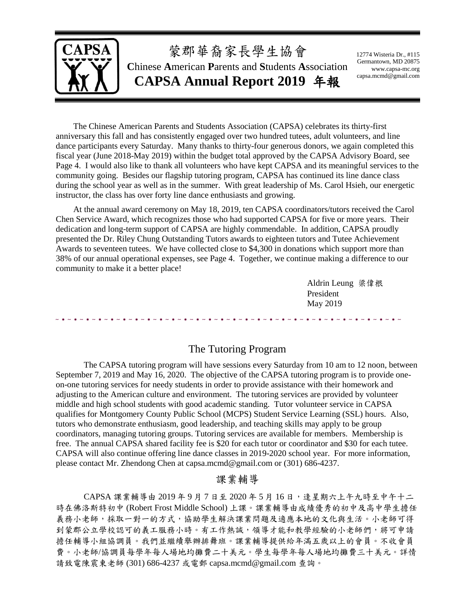

The Chinese American Parents and Students Association (CAPSA) celebrates its thirty-first anniversary this fall and has consistently engaged over two hundred tutees, adult volunteers, and line dance participants every Saturday. Many thanks to thirty-four generous donors, we again completed this fiscal year (June 2018-May 2019) within the budget total approved by the CAPSA Advisory Board, see Page 4. I would also like to thank all volunteers who have kept CAPSA and its meaningful services to the community going. Besides our flagship tutoring program, CAPSA has continued its line dance class during the school year as well as in the summer. With great leadership of Ms. Carol Hsieh, our energetic instructor, the class has over forty line dance enthusiasts and growing.

At the annual award ceremony on May 18, 2019, ten CAPSA coordinators/tutors received the Carol Chen Service Award, which recognizes those who had supported CAPSA for five or more years. Their dedication and long-term support of CAPSA are highly commendable. In addition, CAPSA proudly presented the Dr. Riley Chung Outstanding Tutors awards to eighteen tutors and Tutee Achievement Awards to seventeen tutees. We have collected close to \$4,300 in donations which support more than 38% of our annual operational expenses, see Page 4. Together, we continue making a difference to our community to make it a better place!

> Aldrin Leung 梁偉根 President May 2019

### The Tutoring Program

The CAPSA tutoring program will have sessions every Saturday from 10 am to 12 noon, between September 7, 2019 and May 16, 2020. The objective of the CAPSA tutoring program is to provide oneon-one tutoring services for needy students in order to provide assistance with their homework and adjusting to the American culture and environment. The tutoring services are provided by volunteer middle and high school students with good academic standing. Tutor volunteer service in CAPSA qualifies for Montgomery County Public School (MCPS) Student Service Learning (SSL) hours. Also, tutors who demonstrate enthusiasm, good leadership, and teaching skills may apply to be group coordinators, managing tutoring groups. Tutoring services are available for members. Membership is free. The annual CAPSA shared facility fee is \$20 for each tutor or coordinator and \$30 for each tutee. CAPSA will also continue offering line dance classes in 2019-2020 school year. For more information, please contact Mr. Zhendong Chen at capsa.mcmd@gmail.com or (301) 686-4237.

## 課業輔導

 $CAPSA$ 課業輔導由  $2019$  年 9 月 7 日至  $2020$  年 5 月 16 日, 逢星期六上午九時至中午十二 時在佛洛斯特初中 (Robert Frost Middle School) 上課。課業輔導由成績優秀的初中及高中學生擔任 義務小老師,採取一對一的方式,協助學生解決課業問題及適應本地的文化與生活。小老師可得 到蒙郡公立學校認可的義工服務小時。有工作熱誠,領導才能和教學經驗的小老師們,將可申請 擔任輔導小組協調員。我們並繼續舉辦排舞班。課業輔導提供給年滿五歲以上的會員。不收會員 費。小老師/協調員每學年每人場地均攤費二十美元。學生每學年每人場地均攤費三十美元。詳情 請致電陳震東老師 (301) 686-4237 或電郵 capsa.mcmd@gmail.com 查詢。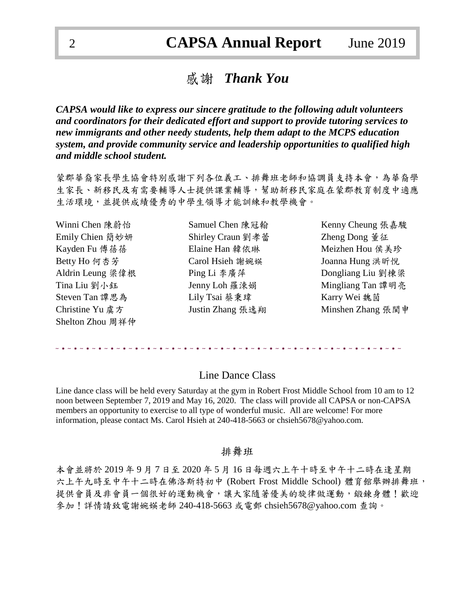# 感謝 *Thank You*

*CAPSA would like to express our sincere gratitude to the following adult volunteers and coordinators for their dedicated effort and support to provide tutoring services to new immigrants and other needy students, help them adapt to the MCPS education system, and provide community service and leadership opportunities to qualified high and middle school student.*

蒙郡華裔家長學生協會特別感謝下列各位義工、排舞班老師和協調員支持本會,為華裔學 生家長、新移民及有需要輔導人士提供課業輔導,幫助新移民家庭在蒙郡教育制度中適應 生活環境,並提供成績優秀的中學生領導才能訓練和教學機會。

Christine Yu 虞方 Tustin Zhang 張逸翔 Minshen Zhang 張閩申 Shelton Zhou 周祥仲

Emily Chien 簡妙妍 Shirley Craun 劉孝蕾 Zheng Dong 董征 Kayden Fu 傅蓓蓓 **Elaine Han 韓依琳** Meizhen Hou 侯美珍 Betty Ho 何杏芳 **Carol Hisieh 謝婉**媖 Joanna Hung 洪昕悅 Steven Tan 譚思為 <br>
Lily Tsai 蔡秉瑋 <br>
Karry Wei 魏茵

Winni Chen 陳蔚怡 Samuel Chen 陳冠翰 Kenny Cheung 張嘉駿 Aldrin Leung 梁偉根 Ping Li 李廣萍 Dongliang Liu 劉棟梁 Tina Liu 劉小鈺 Tenny Loh 羅涑娟 Tina Liu 劉小鈺 Tina Liu 劉小鈺 Jenny Loh 羅涑娟 Tina Liu 劉小鈺

### Line Dance Class

Line dance class will be held every Saturday at the gym in Robert Frost Middle School from 10 am to 12 noon between September 7, 2019 and May 16, 2020. The class will provide all CAPSA or non-CAPSA members an opportunity to exercise to all type of wonderful music. All are welcome! For more information, please contact Ms. Carol Hsieh at 240-418-5663 or chsieh5678@yahoo.com.

#### 排舞班

本會並將於 2019 年 9 月 7 日至 2020 年 5 月 16 日每週六上午十時至中午十二時在逢星期 六上午九時至中午十二時在佛洛斯特初中 (Robert Frost Middle School) 體育館舉辦排舞班, 提供會員及非會員一個很好的運動機會,讓大家隨著優美的旋律做運動,鍛鍊身體!歡迎 參加!詳情請致電謝婉媖老師 240-418-5663 或電郵 chsieh5678@yahoo.com 查詢。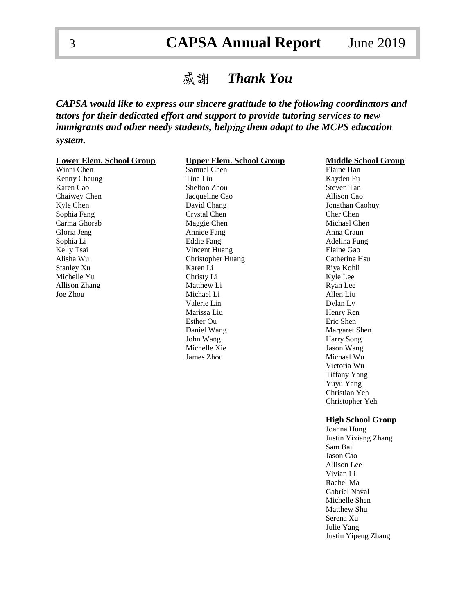# 3 **CAPSA Annual Report** June 2019

# 感謝 *Thank You*

## *CAPSA would like to express our sincere gratitude to the following coordinators and tutors for their dedicated effort and support to provide tutoring services to new immigrants and other needy students, help*ing *them adapt to the MCPS education system.*

| <b>Lower Elem. School Group</b> | <b>Upper Elem. School Group</b> | <b>Middle School Group</b> |
|---------------------------------|---------------------------------|----------------------------|
| Winni Chen                      | Samuel Chen                     | Elaine Han                 |
| Kenny Cheung                    | Tina Liu                        | Kayden Fu                  |
| Karen Cao                       | Shelton Zhou                    | Steven Tan                 |
| Chaiwey Chen                    | Jacqueline Cao                  | Allison Cao                |
| Kyle Chen                       | David Chang                     | Jonathan Caohuy            |
| Sophia Fang                     | Crystal Chen                    | Cher Chen                  |
| Carma Ghorab                    | Maggie Chen                     | Michael Chen               |
| Gloria Jeng                     | Anniee Fang                     | Anna Craun                 |
| Sophia Li                       | <b>Eddie Fang</b>               | Adelina Fung               |
| Kelly Tsai                      | Vincent Huang                   | Elaine Gao                 |
| Alisha Wu                       | Christopher Huang               | Catherine Hsu              |
| <b>Stanley Xu</b>               | Karen Li                        | Riya Kohli                 |
| Michelle Yu                     | Christy Li                      | Kyle Lee                   |
| Allison Zhang                   | Matthew Li                      | Ryan Lee                   |
| Joe Zhou                        | Michael Li                      | Allen Liu                  |
|                                 | Valerie Lin                     | Dylan Ly                   |
|                                 | Marissa Liu                     | Henry Ren                  |
|                                 | Esther Ou                       | Eric Shen                  |
|                                 | Daniel Wang                     | Margaret Shen              |
|                                 | John Wang                       | <b>Harry Song</b>          |
|                                 | Michelle Xie                    | Jason Wang                 |
|                                 | James Zhou                      | Michael Wu                 |
|                                 |                                 | Victoria Wu                |
|                                 |                                 | <b>Tiffany Yang</b>        |
|                                 |                                 | Yuyu Yang                  |
|                                 |                                 | Christian Yeh              |
|                                 |                                 | Christopher Yeh            |

#### **High School Group**

Joanna Hung Justin Yixiang Zhang Sam Bai Jason Cao Allison Lee Vivian Li Rachel Ma Gabriel Naval Michelle Shen Matthew Shu Serena Xu Julie Yang Justin Yipeng Zhang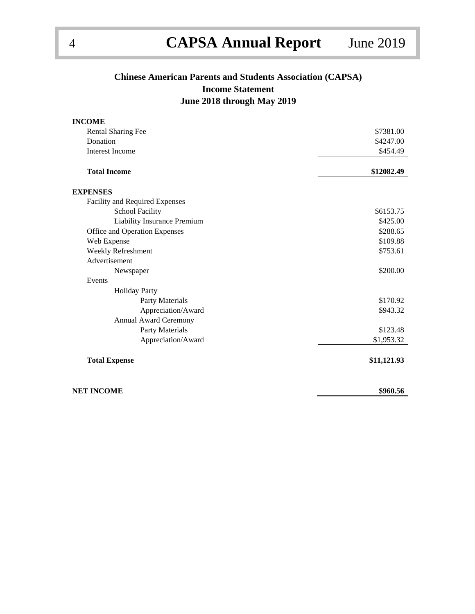## **Chinese American Parents and Students Association (CAPSA) Income Statement June 2018 through May 2019**

| <b>INCOME</b>                  |             |
|--------------------------------|-------------|
| <b>Rental Sharing Fee</b>      | \$7381.00   |
| Donation                       | \$4247.00   |
| <b>Interest Income</b>         | \$454.49    |
| <b>Total Income</b>            | \$12082.49  |
| <b>EXPENSES</b>                |             |
| Facility and Required Expenses |             |
| <b>School Facility</b>         | \$6153.75   |
| Liability Insurance Premium    | \$425.00    |
| Office and Operation Expenses  | \$288.65    |
| Web Expense                    | \$109.88    |
| Weekly Refreshment             | \$753.61    |
| Advertisement                  |             |
| Newspaper                      | \$200.00    |
| Events                         |             |
| <b>Holiday Party</b>           |             |
| Party Materials                | \$170.92    |
| Appreciation/Award             | \$943.32    |
| Annual Award Ceremony          |             |
| Party Materials                | \$123.48    |
| Appreciation/Award             | \$1,953.32  |
| <b>Total Expense</b>           | \$11,121.93 |
|                                |             |
| <b>NET INCOME</b>              | \$960.56    |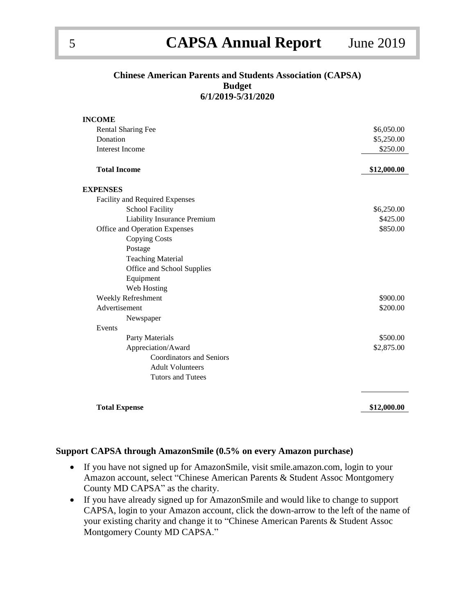# 5 **CAPSA Annual Report** June 2019

### **Chinese American Parents and Students Association (CAPSA) Budget 6/1/2019-5/31/2020**

| <b>INCOME</b>                   |             |
|---------------------------------|-------------|
| Rental Sharing Fee              | \$6,050.00  |
| Donation                        | \$5,250.00  |
| <b>Interest Income</b>          | \$250.00    |
| <b>Total Income</b>             | \$12,000.00 |
| <b>EXPENSES</b>                 |             |
| Facility and Required Expenses  |             |
| <b>School Facility</b>          | \$6,250.00  |
| Liability Insurance Premium     | \$425.00    |
| Office and Operation Expenses   | \$850.00    |
| <b>Copying Costs</b>            |             |
| Postage                         |             |
| <b>Teaching Material</b>        |             |
| Office and School Supplies      |             |
| Equipment                       |             |
| Web Hosting                     |             |
| Weekly Refreshment              | \$900.00    |
| Advertisement                   | \$200.00    |
| Newspaper                       |             |
| Events                          |             |
| <b>Party Materials</b>          | \$500.00    |
| Appreciation/Award              | \$2,875.00  |
| <b>Coordinators and Seniors</b> |             |
| <b>Adult Volunteers</b>         |             |
| <b>Tutors and Tutees</b>        |             |
|                                 |             |
| <b>Total Expense</b>            | \$12,000.00 |

#### **Support CAPSA through AmazonSmile (0.5% on every Amazon purchase)**

- If you have not signed up for AmazonSmile, visit smile.amazon.com, login to your Amazon account, select "Chinese American Parents & Student Assoc Montgomery County MD CAPSA" as the charity.
- If you have already signed up for AmazonSmile and would like to change to support CAPSA, login to your Amazon account, click the down-arrow to the left of the name of your existing charity and change it to "Chinese American Parents & Student Assoc Montgomery County MD CAPSA."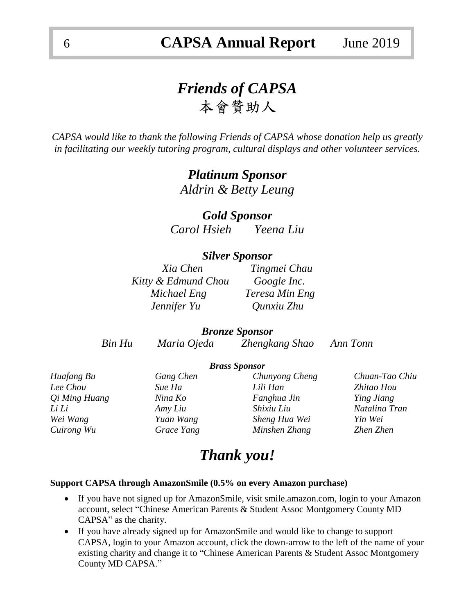# *Friends of CAPSA*  本會贊助人

*CAPSA would like to thank the following Friends of CAPSA whose donation help us greatly in facilitating our weekly tutoring program, cultural displays and other volunteer services.*

> *Platinum Sponsor Aldrin & Betty Leung*

*Gold Sponsor Carol Hsieh Yeena Liu*

### *Silver Sponsor*

*Xia Chen Tingmei Chau Kitty & Edmund Chou Google Inc. Michael Eng Teresa Min Eng Jennifer Yu Qunxiu Zhu*

### *Bronze Sponsor*

*Bin Hu Maria Ojeda Zhengkang Shao Ann Tonn*

### *Brass Sponsor*

| Huafang Bu                  | Gang Chen  | Chunyong Cheng | Chuan-Tao Chiu    |
|-----------------------------|------------|----------------|-------------------|
| Lee Chou                    | Sue Ha     | Lili Han       | Zhitao Hou        |
| <i><b>Qi Ming Huang</b></i> | Nina Ko    | Fanghua Jin    | <i>Ying Jiang</i> |
| Li Li                       | Amy Liu    | Shixiu Liu     | Natalina Tran     |
| Wei Wang                    | Yuan Wang  | Sheng Hua Wei  | Yin Wei           |
| Cuirong Wu                  | Grace Yang | Minshen Zhang  | Zhen Zhen         |

# *Thank you!*

#### **Support CAPSA through AmazonSmile (0.5% on every Amazon purchase)**

- If you have not signed up for AmazonSmile, visit smile.amazon.com, login to your Amazon account, select "Chinese American Parents & Student Assoc Montgomery County MD CAPSA" as the charity.
- If you have already signed up for AmazonSmile and would like to change to support CAPSA, login to your Amazon account, click the down-arrow to the left of the name of your existing charity and change it to "Chinese American Parents & Student Assoc Montgomery County MD CAPSA."